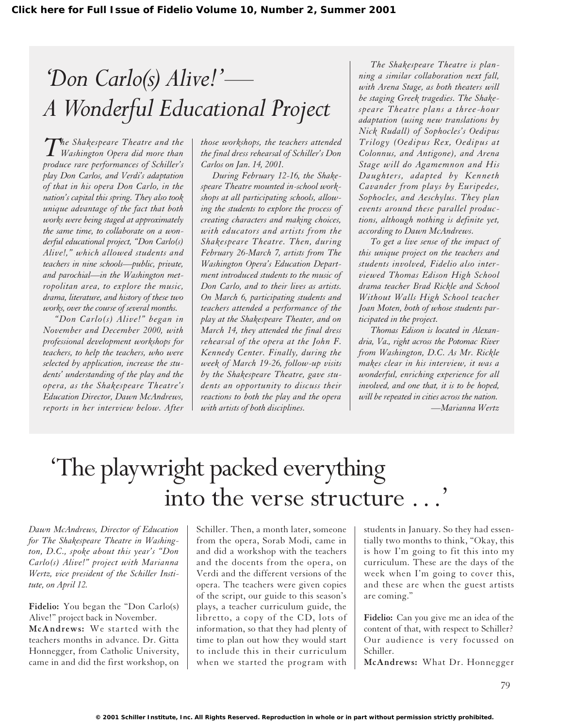# *'Don Carlo(s) Alive!'— A Wonderful Educational Project*

*The Shakespeare Theatre and the Washington Opera did more than produce rare performances of Schiller's play Don Carlos, and Verdi's adaptation of that in his opera Don Carlo, in the nation's capital this spring. They also took unique advantage of the fact that both works were being staged at approximately the same time, to collaborate on a wonderful educational project, "Don Carlo(s) Alive!," which allowed students and teachers in nine schools—public, private, and parochial—in the Washington metropolitan area, to explore the music, drama, literature, and history of these two works, over the course of several months.*

*"Don Carlo(s) Alive!" began in November and December 2000, with professional development workshops for teachers, to help the teachers, who were selected by application, increase the students' understanding of the play and the opera, as the Shakespeare Theatre's Education Director, Dawn McAndrews, reports in her interview below. After*

*those workshops, the teachers attended the final dress rehearsal of Schiller's Don Carlos on Jan. 14, 2001.*

*During February 12-16, the Shakespeare Theatre mounted in-school workshops at all participating schools, allowing the students to explore the process of creating characters and making choices, with educators and artists from the Shakespeare Theatre. Then, during February 26-March 7, artists from The Washington Opera's Education Department introduced students to the music of Don Carlo, and to their lives as artists. On March 6, participating students and teachers attended a performance of the play at the Shakespeare Theater, and on March 14, they attended the final dress rehearsal of the opera at the John F. Kennedy Center. Finally, during the week of March 19-26, follow-up visits by the Shakespeare Theatre, gave students an opportunity to discuss their reactions to both the play and the opera with artists of both disciplines.*

*The Shakespeare Theatre is planning a similar collaboration next fall, with Arena Stage, as both theaters will be staging Greek tragedies. The Shakespeare Theatre plans a three-hour adaptation (using new translations by Nick Rudall) of Sophocles's Oedipus Trilogy (Oedipus Rex, Oedipus at Colonnus, and Antigone), and Arena Stage will do Agamemnon and His Daughters, adapted by Kenneth Cavander from plays by Euripedes, Sophocles, and Aeschylus. They plan events around these parallel productions, although nothing is definite yet, according to Dawn McAndrews.*

*To get a live sense of the impact of this unique project on the teachers and students involved, Fidelio also interviewed Thomas Edison High School drama teacher Brad Rickle and School Without Walls High School teacher Joan Moten, both of whose students participated in the project.*

*Thomas Edison is located in Alexandria, Va., right across the Potomac River from Washington, D.C. As Mr. Rickle makes clear in his interview, it was a wonderful, enriching experience for all involved, and one that, it is to be hoped, will be repeated in cities across the nation. —Marianna Wertz*

# 'The playwright packed everything into the verse structure ...

*Dawn McAndrews, Director of Education for The Shakespeare Theatre in Washington, D.C., spoke about this year's "Don Carlo(s) Alive!" project with Marianna Wertz, vice president of the Schiller Institute, on April 12.*

**Fidelio:** You began the "Don Carlo(s) Alive!" project back in November. **McAndrews:** We started with the teachers months in advance. Dr. Gitta Honnegger, from Catholic University, came in and did the first workshop, on Schiller. Then, a month later, someone from the opera, Sorab Modi, came in and did a workshop with the teachers and the docents from the opera, on Verdi and the different versions of the opera. The teachers were given copies of the script, our guide to this season's plays, a teacher curriculum guide, the libretto, a copy of the CD, lots of information, so that they had plenty of time to plan out how they would start to include this in their curriculum when we started the program with students in January. So they had essentially two months to think, "Okay, this is how I'm going to fit this into my curriculum. These are the days of the week when I'm going to cover this, and these are when the guest artists are coming."

**Fidelio:** Can you give me an idea of the content of that, with respect to Schiller? Our audience is very focussed on Schiller.

**McAndrews:** What Dr. Honnegger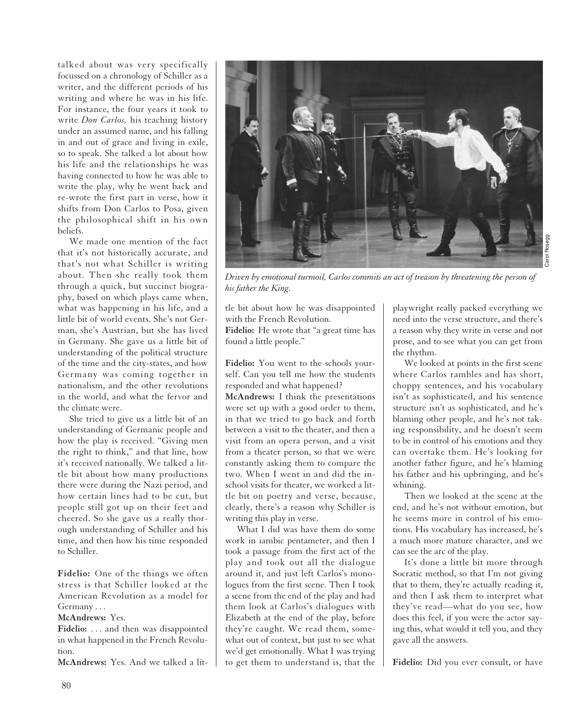talked about was very specifically focussed on a chronology of Schiller as a writer, and the different periods of his writing and where he was in his life. For instance, the four years it took to write *Don Carlos,* his teaching history under an assumed name, and his falling in and out of grace and living in exile, so to speak. She talked a lot about how his life and the relationships he was having connected to how he was able to write the play, why he went back and re-wrote the first part in verse, how it shifts from Don Carlos to Posa, given the philosophical shift in his own beliefs.

We made one mention of the fact that it's not historically accurate, and that's not what Schiller is writing about. Then she really took them through a quick, but succinct biography, based on which plays came when, what was happening in his life, and a little bit of world events. She's not German, she's Austrian, but she has lived in Germany. She gave us a little bit of understanding of the political structure of the time and the city-states, and how Germany was coming together in nationalism, and the other revolutions in the world, and what the fervor and the climate were.

She tried to give us a little bit of an understanding of Germanic people and how the play is received. "Giving men the right to think," and that line, how it's received nationally. We talked a little bit about how many productions there were during the Nazi period, and how certain lines had to be cut, but people still got up on their feet and cheered. So she gave us a really thorough understanding of Schiller and his time, and then how his time responded to Schiller.

**Fidelio:** One of the things we often stress is that Schiller looked at the American Revolution as a model for Germany . . .

#### **McAndrews:** Yes.

Fidelio: ... and then was disappointed in what happened in the French Revolution.

**McAndrews:** Yes. And we talked a lit-



*Driven by emotional turmoil, Carlos commits an act of treason by threatening the person of his father the King.*

tle bit about how he was disappointed with the French Revolution.

**Fidelio:** He wrote that "a great time has found a little people."

**Fidelio:** You went to the schools yourself. Can you tell me how the students responded and what happened?

**McAndrews:** I think the presentations were set up with a good order to them, in that we tried to go back and forth between a visit to the theater, and then a visit from an opera person, and a visit from a theater person, so that we were constantly asking them to compare the two. When I went in and did the inschool visits for theater, we worked a little bit on poetry and verse, because, clearly, there's a reason why Schiller is writing this play in verse.

What I did was have them do some work in iambic pentameter, and then I took a passage from the first act of the play and took out all the dialogue around it, and just left Carlos's monologues from the first scene. Then I took a scene from the end of the play and had them look at Carlos's dialogues with Elizabeth at the end of the play, before they're caught. We read them, somewhat out of context, but just to see what we'd get emotionally. What I was trying to get them to understand is, that the playwright really packed everything we need into the verse structure, and there's a reason why they write in verse and not prose, and to see what you can get from the rhythm.

We looked at points in the first scene where Carlos rambles and has short, choppy sentences, and his vocabulary isn't as sophisticated, and his sentence structure isn't as sophisticated, and he's blaming other people, and he's not taking responsibility, and he doesn't seem to be in control of his emotions and they can overtake them. He's looking for another father figure, and he's blaming his father and his upbringing, and he's whining.

Then we looked at the scene at the end, and he's not without emotion, but he seems more in control of his emotions. His vocabulary has increased, he's a much more mature character, and we can see the arc of the play.

It's done a little bit more through Socratic method, so that I'm not giving that to them, they're actually reading it, and then I ask them to interpret what they've read—what do you see, how does this feel, if you were the actor saying this, what would it tell you, and they gave all the answers.

**Fidelio:** Did you ever consult, or have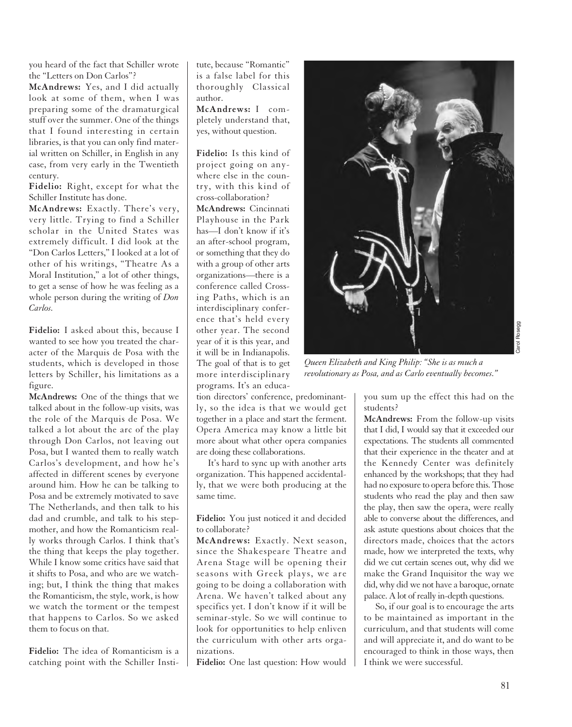you heard of the fact that Schiller wrote the "Letters on Don Carlos"?

**McAndrews:** Yes, and I did actually look at some of them, when I was preparing some of the dramaturgical stuff over the summer. One of the things that I found interesting in certain libraries, is that you can only find material written on Schiller, in English in any case, from very early in the Twentieth century.

**Fidelio:** Right, except for what the Schiller Institute has done.

**McAndrews:** Exactly. There's very, very little. Trying to find a Schiller scholar in the United States was extremely difficult. I did look at the "Don Carlos Letters," I looked at a lot of other of his writings, "Theatre As a Moral Institution," a lot of other things, to get a sense of how he was feeling as a whole person during the writing of *Don Carlos.*

**Fidelio:** I asked about this, because I wanted to see how you treated the character of the Marquis de Posa with the students, which is developed in those letters by Schiller, his limitations as a figure.

**McAndrews:** One of the things that we talked about in the follow-up visits, was the role of the Marquis de Posa. We talked a lot about the arc of the play through Don Carlos, not leaving out Posa, but I wanted them to really watch Carlos's development, and how he's affected in different scenes by everyone around him. How he can be talking to Posa and be extremely motivated to save The Netherlands, and then talk to his dad and crumble, and talk to his stepmother, and how the Romanticism really works through Carlos. I think that's the thing that keeps the play together. While I know some critics have said that it shifts to Posa, and who are we watching; but, I think the thing that makes the Romanticism, the style, work, is how we watch the torment or the tempest that happens to Carlos. So we asked them to focus on that.

**Fidelio:** The idea of Romanticism is a catching point with the Schiller Institute, because "Romantic" is a false label for this thoroughly Classical author.

**McAndrews:** I completely understand that, yes, without question.

**Fidelio:** Is this kind of project going on anywhere else in the country, with this kind of cross-collaboration?

**McAndrews:** Cincinnati Playhouse in the Park has—I don't know if it's an after-school program, or something that they do with a group of other arts organizations—there is a conference called Crossing Paths, which is an interdisciplinary conference that's held every other year. The second year of it is this year, and it will be in Indianapolis. The goal of that is to get more interdisciplinary programs. It's an educa-

tion directors' conference, predominantly, so the idea is that we would get together in a place and start the ferment. Opera America may know a little bit more about what other opera companies are doing these collaborations.

It's hard to sync up with another arts organization. This happened accidentally, that we were both producing at the same time.

**Fidelio:** You just noticed it and decided to collaborate?

**McAndrews:** Exactly. Next season, since the Shakespeare Theatre and Arena Stage will be opening their seasons with Greek plays, we are going to be doing a collaboration with Arena. We haven't talked about any specifics yet. I don't know if it will be seminar-style. So we will continue to look for opportunities to help enliven the curriculum with other arts organizations.

**Fidelio:** One last question: How would



*Queen Elizabeth and King Philip: "She is as much a revolutionary as Posa, and as Carlo eventually becomes."*

you sum up the effect this had on the students?

**McAndrews:** From the follow-up visits that I did, I would say that it exceeded our expectations. The students all commented that their experience in the theater and at the Kennedy Center was definitely enhanced by the workshops; that they had had no exposure to opera before this. Those students who read the play and then saw the play, then saw the opera, were really able to converse about the differences, and ask astute questions about choices that the directors made, choices that the actors made, how we interpreted the texts, why did we cut certain scenes out, why did we make the Grand Inquisitor the way we did, why did we not have a baroque, ornate palace. A lot of really in-depth questions.

So, if our goal is to encourage the arts to be maintained as important in the curriculum, and that students will come and will appreciate it, and do want to be encouraged to think in those ways, then I think we were successful.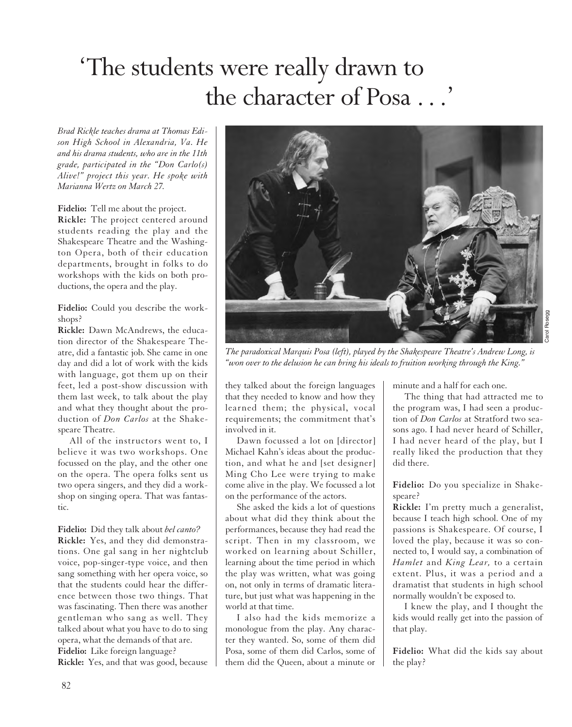### 'The students were really drawn to the character of Posa ...'

*Brad Rickle teaches drama at Thomas Edison High School in Alexandria, Va. He and his drama students, who are in the 11th grade, participated in the "Don Carlo(s) Alive!" project this year. He spoke with Marianna Wertz on March 27.*

**Fidelio:** Tell me about the project. **Rickle:** The project centered around students reading the play and the Shakespeare Theatre and the Washington Opera, both of their education departments, brought in folks to do workshops with the kids on both productions, the opera and the play.

**Fidelio:** Could you describe the workshops?

**Rickle:** Dawn McAndrews, the education director of the Shakespeare Theatre, did a fantastic job. She came in one day and did a lot of work with the kids with language, got them up on their feet, led a post-show discussion with them last week, to talk about the play and what they thought about the production of *Don Carlos* at the Shakespeare Theatre.

All of the instructors went to, I believe it was two workshops. One focussed on the play, and the other one on the opera. The opera folks sent us two opera singers, and they did a workshop on singing opera. That was fantastic.

**Fidelio:** Did they talk about *bel canto?* **Rickle:** Yes, and they did demonstrations. One gal sang in her nightclub voice, pop-singer-type voice, and then sang something with her opera voice, so that the students could hear the difference between those two things. That was fascinating. Then there was another gentleman who sang as well. They talked about what you have to do to sing opera, what the demands of that are. **Fidelio:** Like foreign language?

**Rickle:** Yes, and that was good, because



*The paradoxical Marquis Posa (left), played by the Shakespeare Theatre's Andrew Long, is "won over to the delusion he can bring his ideals to fruition working through the King."*

they talked about the foreign languages that they needed to know and how they learned them; the physical, vocal requirements; the commitment that's involved in it.

Dawn focussed a lot on [director] Michael Kahn's ideas about the production, and what he and [set designer] Ming Cho Lee were trying to make come alive in the play. We focussed a lot on the performance of the actors.

She asked the kids a lot of questions about what did they think about the performances, because they had read the script. Then in my classroom, we worked on learning about Schiller, learning about the time period in which the play was written, what was going on, not only in terms of dramatic literature, but just what was happening in the world at that time.

I also had the kids memorize a monologue from the play. Any character they wanted. So, some of them did Posa, some of them did Carlos, some of them did the Queen, about a minute or

minute and a half for each one.

The thing that had attracted me to the program was, I had seen a production of *Don Carlos* at Stratford two seasons ago. I had never heard of Schiller, I had never heard of the play, but I really liked the production that they did there.

**Fidelio:** Do you specialize in Shakespeare?

**Rickle:** I'm pretty much a generalist, because I teach high school. One of my passions is Shakespeare. Of course, I loved the play, because it was so connected to, I would say, a combination of *Hamlet* and *King Lear,* to a certain extent. Plus, it was a period and a dramatist that students in high school normally wouldn't be exposed to.

I knew the play, and I thought the kids would really get into the passion of that play.

**Fidelio:** What did the kids say about the play?